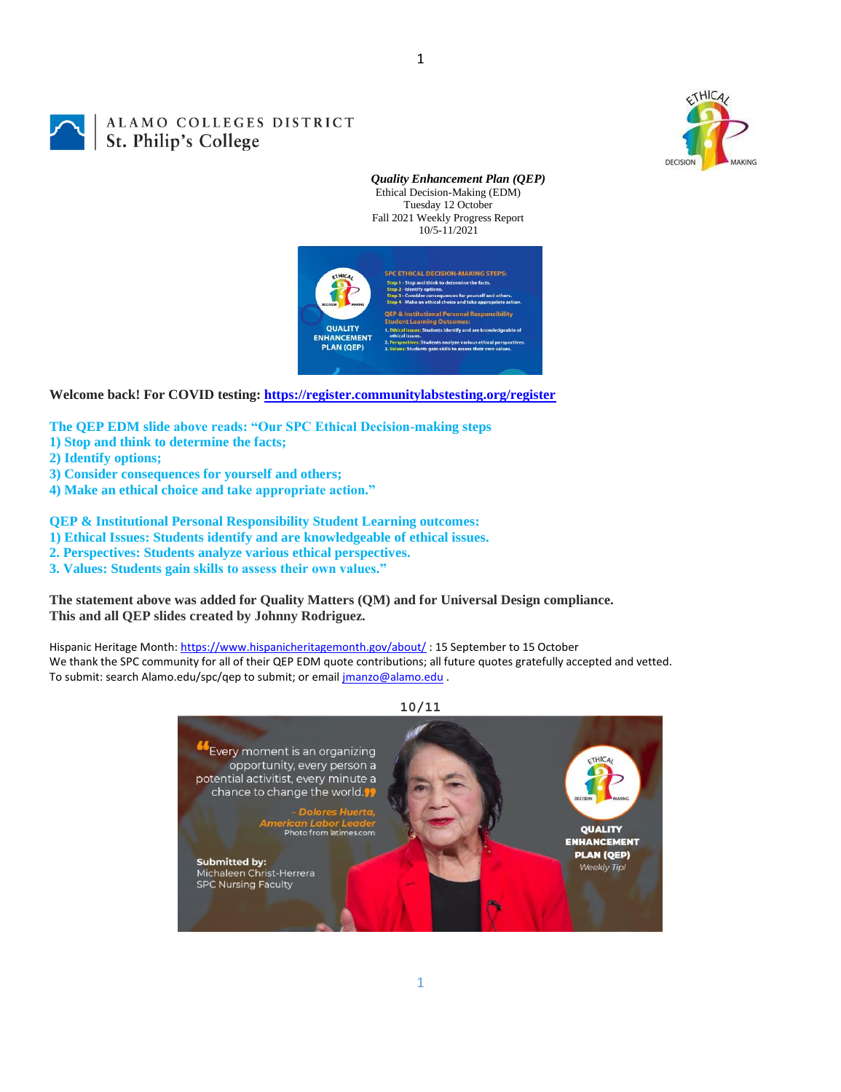

# ALAMO COLLEGES DISTRICT St. Philip's College

*Quality Enhancement Plan (QEP)* Ethical Decision-Making (EDM) Tuesday 12 October Fall 2021 Weekly Progress Report 10/5-11/2021



1

**Welcome back! For COVID testing:<https://register.communitylabstesting.org/register>**

**The QEP EDM slide above reads: "Our SPC Ethical Decision-making steps** 

- **1) Stop and think to determine the facts;**
- **2) Identify options;**
- **3) Consider consequences for yourself and others;**
- **4) Make an ethical choice and take appropriate action."**

**QEP & Institutional Personal Responsibility Student Learning outcomes:** 

- **1) Ethical Issues: Students identify and are knowledgeable of ethical issues.**
- **2. Perspectives: Students analyze various ethical perspectives.**
- **3. Values: Students gain skills to assess their own values."**

**The statement above was added for Quality Matters (QM) and for Universal Design compliance. This and all QEP slides created by Johnny Rodriguez.**

Hispanic Heritage Month[: https://www.hispanicheritagemonth.gov/about/](https://www.hispanicheritagemonth.gov/about/): 15 September to 15 October We thank the SPC community for all of their QEP EDM quote contributions; all future quotes gratefully accepted and vetted. To submit: search Alamo.edu/spc/qep to submit; or emai[l jmanzo@alamo.edu](mailto:jmanzo@alamo.edu) .

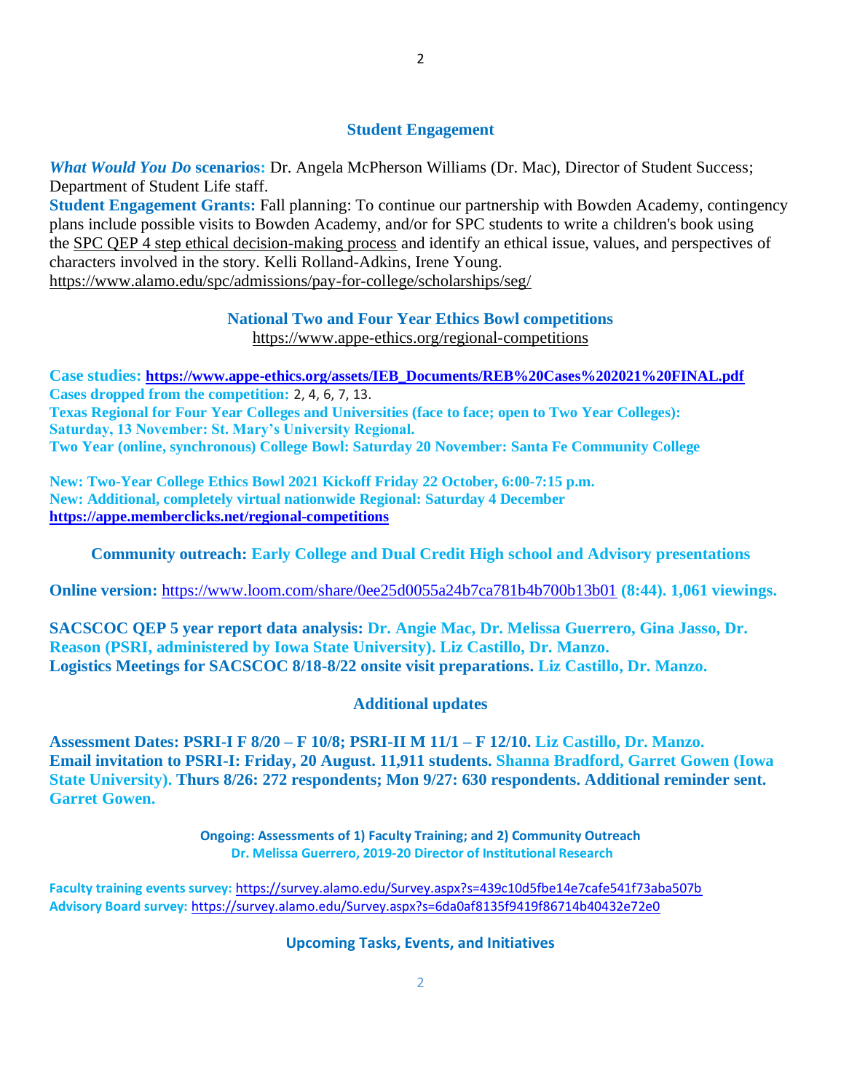### **Student Engagement**

*What Would You Do* **scenarios:** Dr. Angela McPherson Williams (Dr. Mac), Director of Student Success; Department of Student Life staff.

**Student Engagement Grants:** Fall planning: To continue our partnership with Bowden Academy, contingency plans include possible visits to Bowden Academy, and/or for SPC students to write a children's book using the [SPC QEP 4 step ethical decision-making process](https://mail.alamo.edu/owa/redir.aspx?REF=QPGGgOE-3HbbrbCAzqBFQWbtY3e2Gc0f0qSFld99-4hqZWSPr8DYCAFodHRwczovL3d3dy5hbGFtby5lZHUvbGluay8zYjg5NjQxMTY3MGY0YTZlYjU2MzNkNGFmNjE1OTBjNC5hc3B4) and identify an ethical issue, values, and perspectives of characters involved in the story. Kelli Rolland-Adkins, Irene Young. <https://www.alamo.edu/spc/admissions/pay-for-college/scholarships/seg/>

## **National Two and Four Year Ethics Bowl competitions** <https://www.appe-ethics.org/regional-competitions>

**Case studies: [https://www.appe-ethics.org/assets/IEB\\_Documents/REB%20Cases%202021%20FINAL.pdf](https://www.appe-ethics.org/assets/IEB_Documents/REB%20Cases%202021%20FINAL.pdf) Cases dropped from the competition:** 2, 4, 6, 7, 13. **Texas Regional for Four Year Colleges and Universities (face to face; open to Two Year Colleges): Saturday, 13 November: St. Mary's University Regional. Two Year (online, synchronous) College Bowl: Saturday 20 November: Santa Fe Community College**

**New: Two-Year College Ethics Bowl 2021 Kickoff Friday 22 October, 6:00-7:15 p.m. New: Additional, completely virtual nationwide Regional: Saturday 4 December <https://appe.memberclicks.net/regional-competitions>**

**Community outreach: Early College and Dual Credit High school and Advisory presentations**

**Online version:** <https://www.loom.com/share/0ee25d0055a24b7ca781b4b700b13b01> **(8:44). 1,061 viewings.**

**SACSCOC QEP 5 year report data analysis: Dr. Angie Mac, Dr. Melissa Guerrero, Gina Jasso, Dr. Reason (PSRI, administered by Iowa State University). Liz Castillo, Dr. Manzo. Logistics Meetings for SACSCOC 8/18-8/22 onsite visit preparations. Liz Castillo, Dr. Manzo.**

#### **Additional updates**

**Assessment Dates: PSRI-I F 8/20 – F 10/8; PSRI-II M 11/1 – F 12/10. Liz Castillo, Dr. Manzo. Email invitation to PSRI-I: Friday, 20 August. 11,911 students. Shanna Bradford, Garret Gowen (Iowa State University). Thurs 8/26: 272 respondents; Mon 9/27: 630 respondents. Additional reminder sent. Garret Gowen.**

> **Ongoing: Assessments of 1) Faculty Training; and 2) Community Outreach Dr. Melissa Guerrero, 2019-20 Director of Institutional Research**

**Faculty training events survey:** <https://survey.alamo.edu/Survey.aspx?s=439c10d5fbe14e7cafe541f73aba507b> **Advisory Board survey:** [https://survey.alamo.edu/Survey.aspx?s=6da0af8135f9419f86714b40432e72e0](https://mail.alamo.edu/owa/redir.aspx?C=ltSuwFrmmhFPV6kAmiCFHriyLNGIl0PeNuaCUMi1FWtl6dwQ6ubXCA..&URL=https%3a%2f%2fsurvey.alamo.edu%2fSurvey.aspx%3fs%3d6da0af8135f9419f86714b40432e72e0)

#### **Upcoming Tasks, Events, and Initiatives**